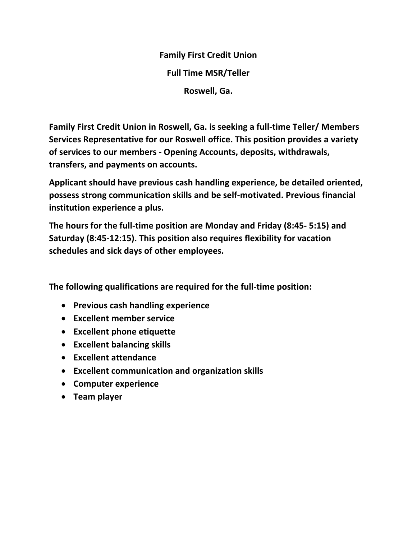**Family First Credit Union Full Time MSR/Teller Roswell, Ga.** 

**Family First Credit Union in Roswell, Ga. is seeking a full-time Teller/ Members Services Representative for our Roswell office. This position provides a variety of services to our members - Opening Accounts, deposits, withdrawals, transfers, and payments on accounts.** 

**Applicant should have previous cash handling experience, be detailed oriented, possess strong communication skills and be self-motivated. Previous financial institution experience a plus.** 

**The hours for the full-time position are Monday and Friday (8:45- 5:15) and Saturday (8:45-12:15). This position also requires flexibility for vacation schedules and sick days of other employees.** 

**The following qualifications are required for the full-time position:** 

- **Previous cash handling experience**
- **Excellent member service**
- **Excellent phone etiquette**
- **Excellent balancing skills**
- **Excellent attendance**
- **Excellent communication and organization skills**
- **Computer experience**
- **Team player**